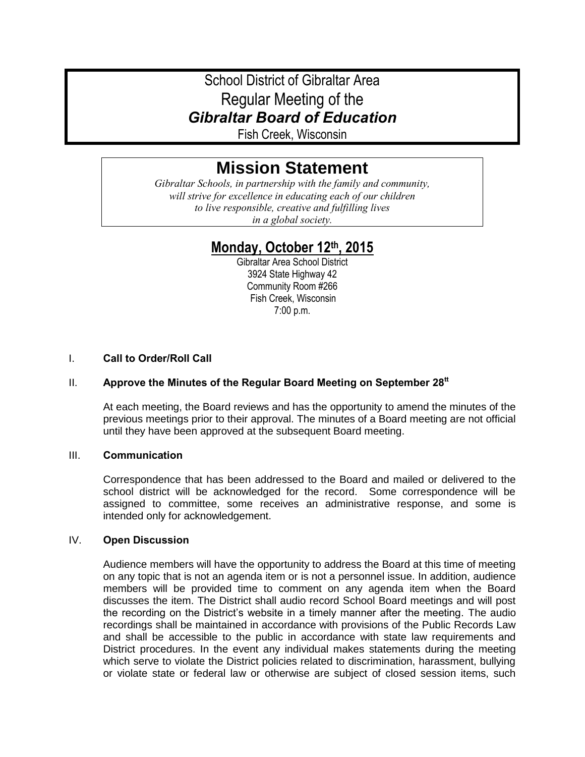# School District of Gibraltar Area Regular Meeting of the *Gibraltar Board of Education*

Fish Creek, Wisconsin

# **Mission Statement**

*Gibraltar Schools, in partnership with the family and community, will strive for excellence in educating each of our children to live responsible, creative and fulfilling lives in a global society.*

# **Monday, October 12th, 2015**

Gibraltar Area School District 3924 State Highway 42 Community Room #266 Fish Creek, Wisconsin 7:00 p.m.

# I. **Call to Order/Roll Call**

# II. **Approve the Minutes of the Regular Board Meeting on September 28tt**

At each meeting, the Board reviews and has the opportunity to amend the minutes of the previous meetings prior to their approval. The minutes of a Board meeting are not official until they have been approved at the subsequent Board meeting.

#### III. **Communication**

Correspondence that has been addressed to the Board and mailed or delivered to the school district will be acknowledged for the record. Some correspondence will be assigned to committee, some receives an administrative response, and some is intended only for acknowledgement.

### IV. **Open Discussion**

Audience members will have the opportunity to address the Board at this time of meeting on any topic that is not an agenda item or is not a personnel issue. In addition, audience members will be provided time to comment on any agenda item when the Board discusses the item. The District shall audio record School Board meetings and will post the recording on the District's website in a timely manner after the meeting. The audio recordings shall be maintained in accordance with provisions of the Public Records Law and shall be accessible to the public in accordance with state law requirements and District procedures. In the event any individual makes statements during the meeting which serve to violate the District policies related to discrimination, harassment, bullying or violate state or federal law or otherwise are subject of closed session items, such